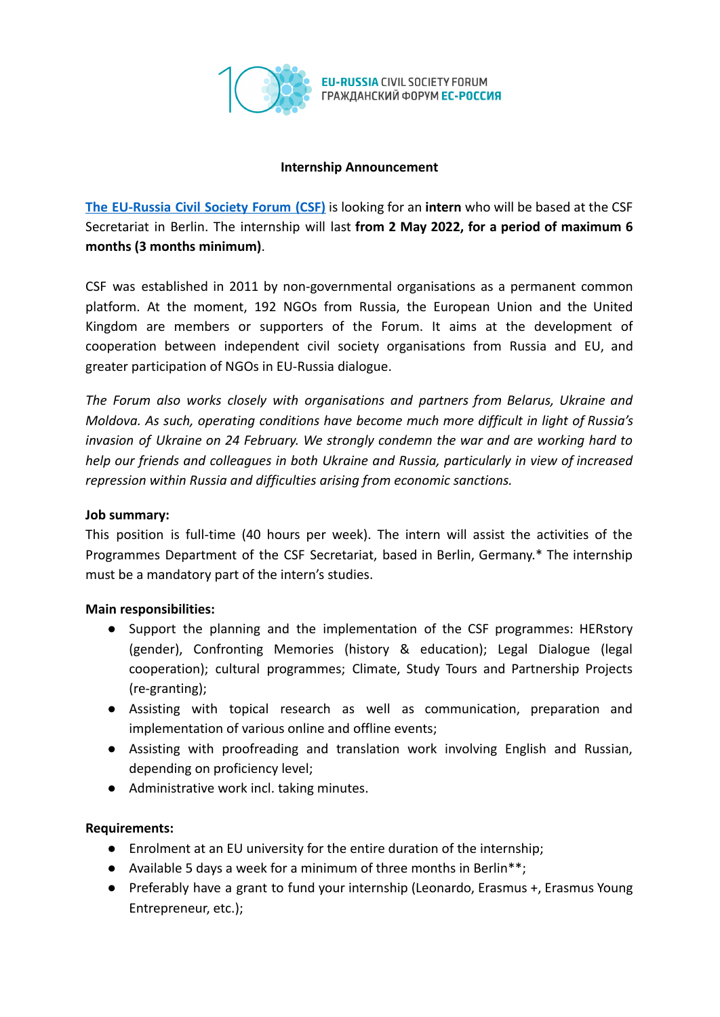

**EU-RUSSIA CIVIL SOCIETY FORUM** ГРАЖДАНСКИЙ ФОРУМ ЕС-РОССИЯ

### **Internship Announcement**

**The [EU-Russia](https://eu-russia-csf.org/) Civil Society Forum (CSF)** is looking for an **intern** who will be based at the CSF Secretariat in Berlin. The internship will last **from 2 May 2022, for a period of maximum 6 months (3 months minimum)**.

CSF was established in 2011 by non-governmental organisations as a permanent common platform. At the moment, 192 NGOs from Russia, the European Union and the United Kingdom are members or supporters of the Forum. It aims at the development of cooperation between independent civil society organisations from Russia and EU, and greater participation of NGOs in EU-Russia dialogue.

*The Forum also works closely with organisations and partners from Belarus, Ukraine and Moldova. As such, operating conditions have become much more difficult in light of Russia's invasion of Ukraine on 24 February. We strongly condemn the war and are working hard to help our friends and colleagues in both Ukraine and Russia, particularly in view of increased repression within Russia and difficulties arising from economic sanctions.*

# **Job summary:**

This position is full-time (40 hours per week). The intern will assist the activities of the Programmes Department of the CSF Secretariat, based in Berlin, Germany.\* The internship must be a mandatory part of the intern's studies.

#### **Main responsibilities:**

- Support the planning and the implementation of the CSF programmes: HERstory (gender), Confronting Memories (history & education); Legal Dialogue (legal cooperation); cultural programmes; Climate, Study Tours and Partnership Projects (re-granting);
- Assisting with topical research as well as communication, preparation and implementation of various online and offline events;
- Assisting with proofreading and translation work involving English and Russian, depending on proficiency level;
- Administrative work incl. taking minutes.

#### **Requirements:**

- Enrolment at an EU university for the entire duration of the internship;
- Available 5 days a week for a minimum of three months in Berlin\*\*;
- Preferably have a grant to fund your internship (Leonardo, Erasmus +, Erasmus Young Entrepreneur, etc.);